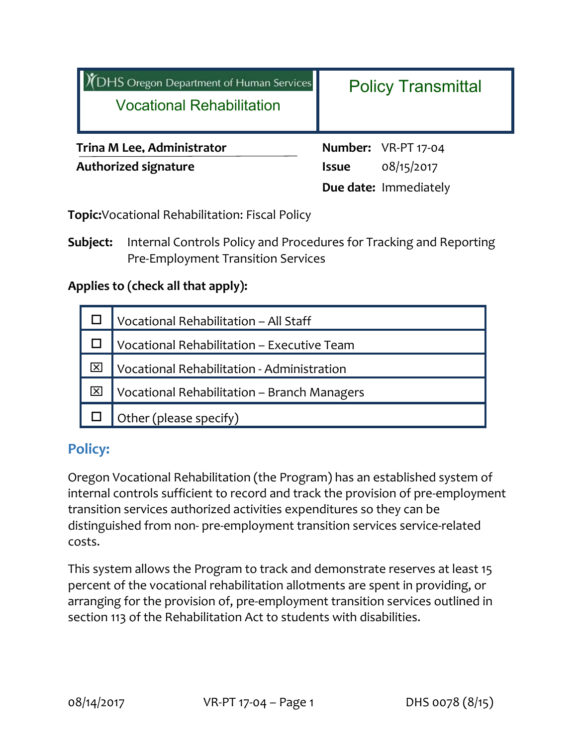| <b>DHS Oregon Department of Human Services</b><br><b>Vocational Rehabilitation</b> | <b>Policy Transmittal</b>                                                  |
|------------------------------------------------------------------------------------|----------------------------------------------------------------------------|
| <b>Trina M Lee, Administrator</b><br><b>Authorized signature</b>                   | Number: VR-PT 17-04<br>08/15/2017<br><b>Issue</b><br>Due date: Immediately |

**Topic:**Vocational Rehabilitation: Fiscal Policy

**Subject:** Internal Controls Policy and Procedures for Tracking and Reporting Pre‐Employment Transition Services

#### **Applies to (check all that apply):**

| Vocational Rehabilitation - All Staff       |  |
|---------------------------------------------|--|
| Vocational Rehabilitation - Executive Team  |  |
| Vocational Rehabilitation - Administration  |  |
| Vocational Rehabilitation - Branch Managers |  |
| Other (please specify)                      |  |

## **Policy:**

Oregon Vocational Rehabilitation (the Program) has an established system of internal controls sufficient to record and track the provision of pre‐employment transition services authorized activities expenditures so they can be distinguished from non- pre-employment transition services service-related costs.

This system allows the Program to track and demonstrate reserves at least 15 percent of the vocational rehabilitation allotments are spent in providing, or arranging for the provision of, pre‐employment transition services outlined in section 113 of the Rehabilitation Act to students with disabilities.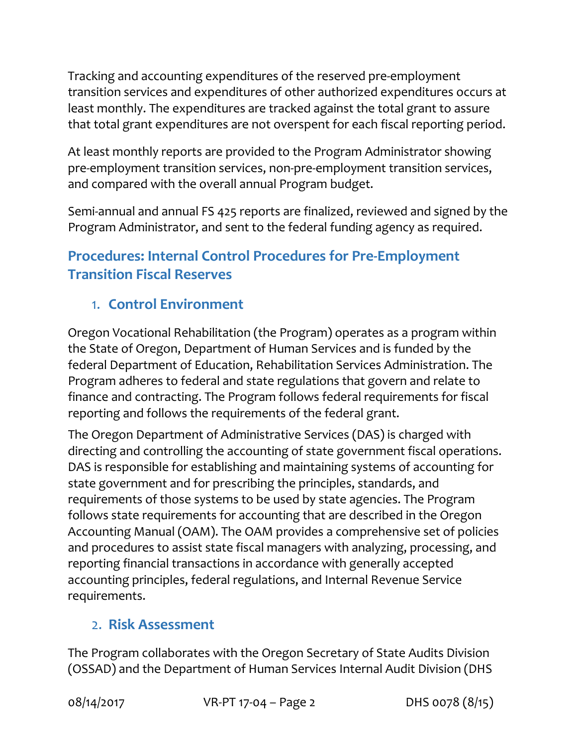Tracking and accounting expenditures of the reserved pre‐employment transition services and expenditures of other authorized expenditures occurs at least monthly. The expenditures are tracked against the total grant to assure that total grant expenditures are not overspent for each fiscal reporting period.

At least monthly reports are provided to the Program Administrator showing pre-employment transition services, non-pre-employment transition services, and compared with the overall annual Program budget.

Semi‐annual and annual FS 425 reports are finalized, reviewed and signed by the Program Administrator, and sent to the federal funding agency as required.

# **Procedures: Internal Control Procedures for Pre‐Employment Transition Fiscal Reserves**

# 1. **Control Environment**

Oregon Vocational Rehabilitation (the Program) operates as a program within the State of Oregon, Department of Human Services and is funded by the federal Department of Education, Rehabilitation Services Administration. The Program adheres to federal and state regulations that govern and relate to finance and contracting. The Program follows federal requirements for fiscal reporting and follows the requirements of the federal grant.

The Oregon Department of Administrative Services (DAS) is charged with directing and controlling the accounting of state government fiscal operations. DAS is responsible for establishing and maintaining systems of accounting for state government and for prescribing the principles, standards, and requirements of those systems to be used by state agencies. The Program follows state requirements for accounting that are described in the Oregon Accounting Manual (OAM). The OAM provides a comprehensive set of policies and procedures to assist state fiscal managers with analyzing, processing, and reporting financial transactions in accordance with generally accepted accounting principles, federal regulations, and Internal Revenue Service requirements.

## 2. **Risk Assessment**

The Program collaborates with the Oregon Secretary of State Audits Division (OSSAD) and the Department of Human Services Internal Audit Division (DHS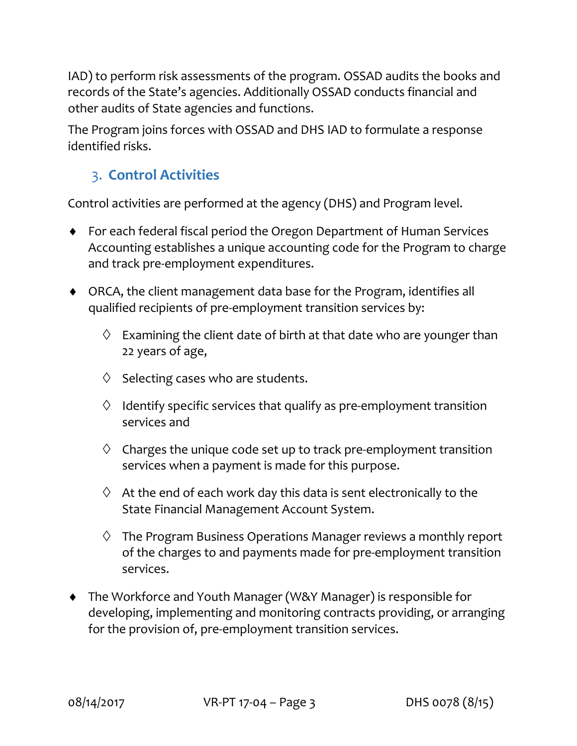IAD) to perform risk assessments of the program. OSSAD audits the books and records of the State's agencies. Additionally OSSAD conducts financial and other audits of State agencies and functions.

The Program joins forces with OSSAD and DHS IAD to formulate a response identified risks.

### 3. **Control Activities**

Control activities are performed at the agency (DHS) and Program level.

- For each federal fiscal period the Oregon Department of Human Services Accounting establishes a unique accounting code for the Program to charge and track pre‐employment expenditures.
- ORCA, the client management data base for the Program, identifies all qualified recipients of pre‐employment transition services by:
	- $\Diamond$  Examining the client date of birth at that date who are younger than 22 years of age,
	- $\diamond$  Selecting cases who are students.
	- $\Diamond$  Identify specific services that qualify as pre-employment transition services and
	- $\Diamond$  Charges the unique code set up to track pre-employment transition services when a payment is made for this purpose.
	- $\Diamond$  At the end of each work day this data is sent electronically to the State Financial Management Account System.
	- $\Diamond$  The Program Business Operations Manager reviews a monthly report of the charges to and payments made for pre‐employment transition services.
- The Workforce and Youth Manager (W&Y Manager) is responsible for developing, implementing and monitoring contracts providing, or arranging for the provision of, pre-employment transition services.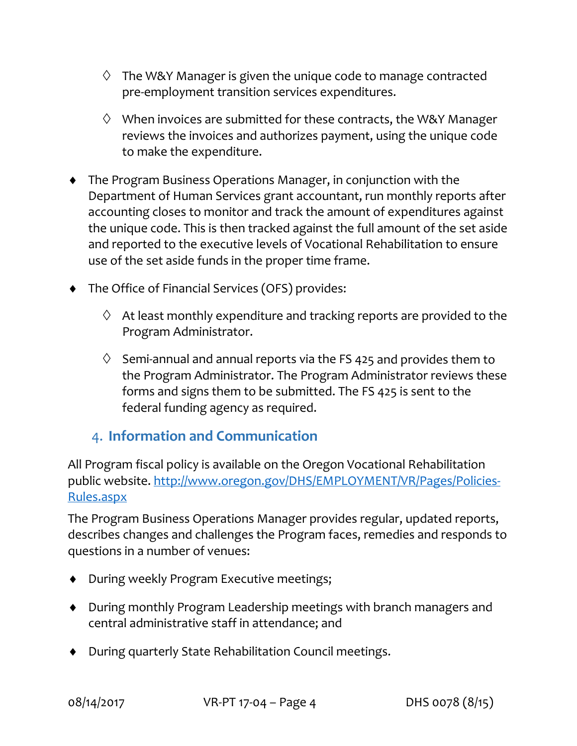- $\Diamond$  The W&Y Manager is given the unique code to manage contracted pre‐employment transition services expenditures.
- $\Diamond$  When invoices are submitted for these contracts, the W&Y Manager reviews the invoices and authorizes payment, using the unique code to make the expenditure.
- The Program Business Operations Manager, in conjunction with the Department of Human Services grant accountant, run monthly reports after accounting closes to monitor and track the amount of expenditures against the unique code. This is then tracked against the full amount of the set aside and reported to the executive levels of Vocational Rehabilitation to ensure use of the set aside funds in the proper time frame.
- The Office of Financial Services (OFS) provides:
	- $\Diamond$  At least monthly expenditure and tracking reports are provided to the Program Administrator.
	- $\Diamond$  Semi-annual and annual reports via the FS 425 and provides them to the Program Administrator. The Program Administrator reviews these forms and signs them to be submitted. The FS 425 is sent to the federal funding agency as required.

### 4. **Information and Communication**

All Program fiscal policy is available on the Oregon Vocational Rehabilitation public website. http://www.oregon.gov/DHS/EMPLOYMENT/VR/Pages/Policies‐ Rules.aspx

The Program Business Operations Manager provides regular, updated reports, describes changes and challenges the Program faces, remedies and responds to questions in a number of venues:

- ◆ During weekly Program Executive meetings;
- During monthly Program Leadership meetings with branch managers and central administrative staff in attendance; and
- During quarterly State Rehabilitation Council meetings.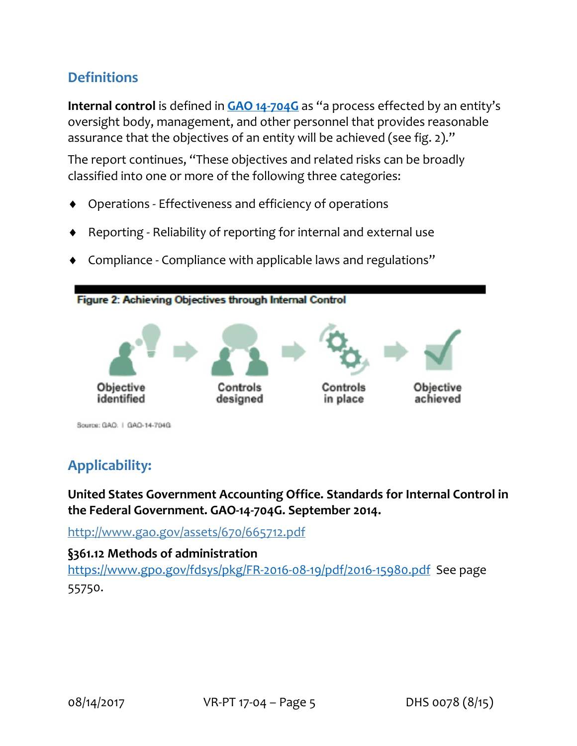## **Definitions**

**Internal control** is defined in **GAO 14‐704G** as "a process effected by an entity's oversight body, management, and other personnel that provides reasonable assurance that the objectives of an entity will be achieved (see fig. 2)."

The report continues, "These objectives and related risks can be broadly classified into one or more of the following three categories:

- Operations ‐ Effectiveness and efficiency of operations
- Reporting ‐ Reliability of reporting for internal and external use
- Compliance ‐ Compliance with applicable laws and regulations"



## **Applicability:**

**United States Government Accounting Office. Standards for Internal Control in the Federal Government. GAO‐14‐704G. September 2014.**

http://www.gao.gov/assets/670/665712.pdf

#### **§361.12 Methods of administration**

https://www.gpo.gov/fdsys/pkg/FR‐2016‐08‐19/pdf/2016‐15980.pdfSee page 55750.